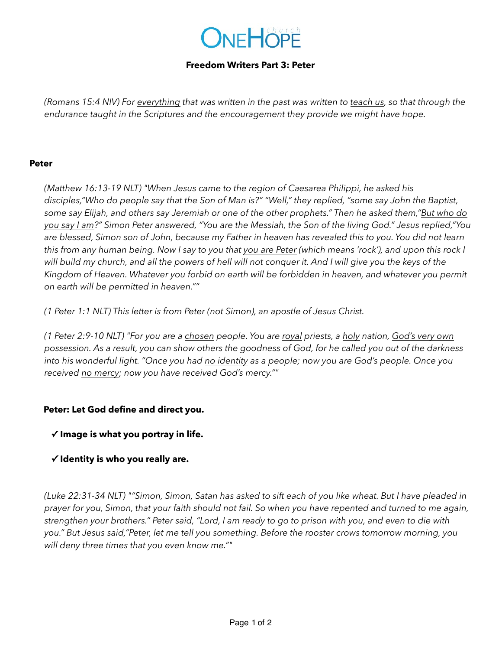# ONEHOPE

#### **Freedom Writers Part 3: Peter**

*(Romans 15:4 NIV) For everything that was written in the past was written to teach us, so that through the endurance taught in the Scriptures and the encouragement they provide we might have hope.*

#### **Peter**

*(Matthew 16:13-19 NLT) "When Jesus came to the region of Caesarea Philippi, he asked his disciples,"Who do people say that the Son of Man is?" "Well," they replied, "some say John the Baptist, some say Elijah, and others say Jeremiah or one of the other prophets." Then he asked them,"But who do you say I am?" Simon Peter answered, "You are the Messiah, the Son of the living God." Jesus replied,"You are blessed, Simon son of John, because my Father in heaven has revealed this to you. You did not learn this from any human being. Now I say to you that you are Peter (which means 'rock'), and upon this rock I will build my church, and all the powers of hell will not conquer it. And I will give you the keys of the Kingdom of Heaven. Whatever you forbid on earth will be forbidden in heaven, and whatever you permit on earth will be permitted in heaven.""* 

*(1 Peter 1:1 NLT) This letter is from Peter (not Simon), an apostle of Jesus Christ.* 

*(1 Peter 2:9-10 NLT) "For you are a chosen people. You are royal priests, a holy nation, God's very own possession. As a result, you can show others the goodness of God, for he called you out of the darkness into his wonderful light. "Once you had no identity as a people; now you are God's people. Once you received no mercy; now you have received God's mercy.""* 

# **Peter: Let God define and direct you.**

# **✓ Image is what you portray in life.**

# **✓ Identity is who you really are.**

*(Luke 22:31-34 NLT) ""Simon, Simon, Satan has asked to sift each of you like wheat. But I have pleaded in prayer for you, Simon, that your faith should not fail. So when you have repented and turned to me again, strengthen your brothers." Peter said, "Lord, I am ready to go to prison with you, and even to die with you." But Jesus said,"Peter, let me tell you something. Before the rooster crows tomorrow morning, you will deny three times that you even know me.""*